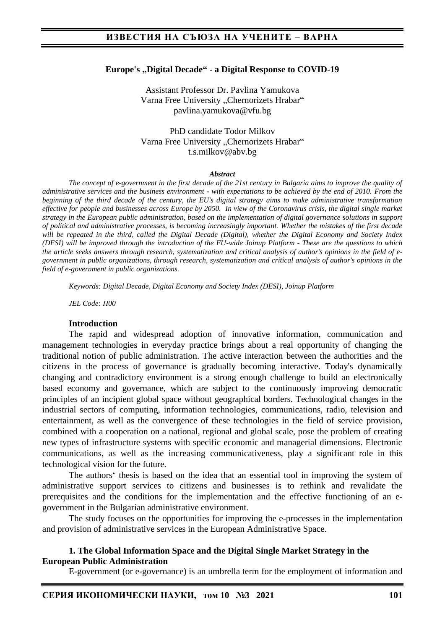#### **Europe's "Digital Decade" - a Digital Response to COVID-19**

Assistant Professor Dr. Pavlina Yamukova Varna Free University "Chernorizets Hrabar" pavlina.yamukova@vfu.bg

PhD candidate Todor Milkov Varna Free University "Chernorizets Hrabar" t.s.milkov@abv.bg

#### *Abstract*

*The concept of e-government in the first decade of the 21st century in Bulgaria aims to improve the quality of administrative services and the business environment - with expectations to be achieved by the end of 2010. From the beginning of the third decade of the century, the EU's digital strategy aims to make administrative transformation effective for people and businesses across Europe by 2050. In view of the Coronavirus crisis, the digital single market strategy in the European public administration, based on the implementation of digital governance solutions in support of political and administrative processes, is becoming increasingly important. Whether the mistakes of the first decade*  will be repeated in the third, called the Digital Decade (Digital), whether the Digital Economy and Society Index *(DESI) will be improved through the introduction of the EU-wide Joinup Platform - These are the questions to which the article seeks answers through research, systematization and critical analysis of author's opinions in the field of egovernment in public organizations, through research, systematization and critical analysis of author's opinions in the field of e-government in public organizations.*

*Keywords: Digital Decade, Digital Economy and Society Index (DESI), Joinup Platform*

*JEL Code: Н00*

#### **Introduction**

The rapid and widespread adoption of innovative information, communication and management technologies in everyday practice brings about a real opportunity of changing the traditional notion of public administration. The active interaction between the authorities and the citizens in the process of governance is gradually becoming interactive. Today's dynamically changing and contradictory environment is a strong enough challenge to build an electronically based economy and governance, which are subject to the continuously improving democratic principles of an incipient global space without geographical borders. Technological changes in the industrial sectors of computing, information technologies, communications, radio, television and entertainment, as well as the convergence of these technologies in the field of service provision, combined with a cooperation on a national, regional and global scale, pose the problem of creating new types of infrastructure systems with specific economic and managerial dimensions. Electronic communications, as well as the increasing communicativeness, play a significant role in this technological vision for the future.

The authors' thesis is based on the idea that an essential tool in improving the system of administrative support services to citizens and businesses is to rethink and revalidate the prerequisites and the conditions for the implementation and the effective functioning of an egovernment in the Bulgarian administrative environment.

The study focuses on the opportunities for improving the e-processes in the implementation and provision of administrative services in the European Administrative Space.

#### **1. The Global Information Space and the Digital Single Market Strategy in the European Public Administration**

E-government (or e-governance) is an umbrella term for the employment of information and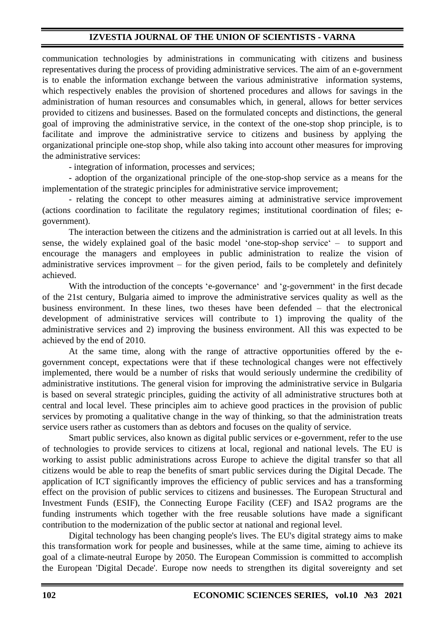communication technologies by administrations in communicating with citizens and business representatives during the process of providing administrative services. The aim of an e-government is to enable the information exchange between the various administrative information systems, which respectively enables the provision of shortened procedures and allows for savings in the administration of human resources and consumables which, in general, allows for better services provided to citizens and businesses. Based on the formulated concepts and distinctions, the general goal of improving the administrative service, in the context of the one-stop shop principle, is to facilitate and improve the administrative service to citizens and business by applying the organizational principle one-stop shop, while also taking into account other measures for improving the administrative services:

- integration of information, processes and services;

- adoption of the organizational principle of the one-stop-shop service as a means for the implementation of the strategic principles for administrative service improvement;

- relating the concept to other measures aiming at administrative service improvement (actions coordination to facilitate the regulatory regimes; institutional coordination of files; egovernment).

The interaction between the citizens and the administration is carried out at all levels. In this sense, the widely explained goal of the basic model 'one-stop-shop service' – to support and encourage the managers and employees in public administration to realize the vision of administrative services improvment – for the given period, fails to be completely and definitely achieved.

With the introduction of the concepts 'e-governance' and 'g-government' in the first decade of the 21st century, Bulgaria aimed to improve the administrative services quality as well as the business environment. In these lines, two theses have been defended – that the electronical development of administrative services will contribute to 1) improving the quality of the administrative services and 2) improving the business environment. All this was expected to be achieved by the end of 2010.

At the same time, along with the range of attractive opportunities offered by the egovernment concept, expectations were that if these technological changes were not effectively implemented, there would be a number of risks that would seriously undermine the credibility of administrative institutions. The general vision for improving the administrative service in Bulgaria is based on several strategic principles, guiding the activity of all administrative structures both at central and local level. These principles aim to achieve good practices in the provision of public services by promoting a qualitative change in the way of thinking, so that the administration treats service users rather as customers than as debtors and focuses on the quality of service.

Smart public services, also known as digital public services or e-government, refer to the use of technologies to provide services to citizens at local, regional and national levels. The EU is working to assist public administrations across Europe to achieve the digital transfer so that all citizens would be able to reap the benefits of smart public services during the Digital Decade. The application of ICT significantly improves the efficiency of public services and has a transforming effect on the provision of public services to citizens and businesses. The European Structural and Investment Funds (ESIF), the Connecting Europe Facility (CEF) and ISA2 programs are the funding instruments which together with the free reusable solutions have made a significant contribution to the modernization of the public sector at national and regional level.

Digital technology has been changing people's lives. The EU's digital strategy aims to make this transformation work for people and businesses, while at the same time, aiming to achieve its goal of a climate-neutral Europe by 2050. The European Commission is committed to accomplish the European 'Digital Decade'. Europe now needs to strengthen its digital sovereignty and set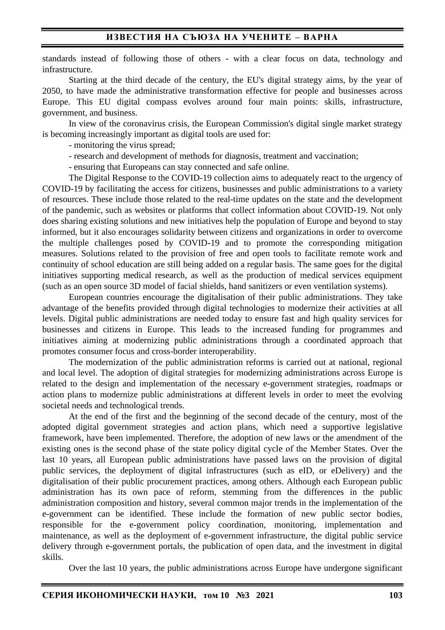### **ИЗВЕСТИЯ НА СЪЮЗА НА УЧЕНИТЕ – ВАРНА**

standards instead of following those of others - with a clear focus on data, technology and infrastructure.

Starting at the third decade of the century, the EU's digital strategy aims, by the year of 2050, to have made the administrative transformation effective for people and businesses across Europe. This EU digital compass evolves around four main points: skills, infrastructure, government, and business.

In view of the coronavirus crisis, the European Commission's digital single market strategy is becoming increasingly important as digital tools are used for:

- monitoring the virus spread;

- research and development of methods for diagnosis, treatment and vaccination;

- ensuring that Europeans can stay connected and safe online.

The Digital Response to the COVID-19 collection aims to adequately react to the urgency of COVID-19 by facilitating the access for citizens, businesses and public administrations to a variety of resources. These include those related to the real-time updates on the state and the development of the pandemic, such as websites or platforms that collect information about COVID-19. Not only does sharing existing solutions and new initiatives help the population of Europe and beyond to stay informed, but it also encourages solidarity between citizens and organizations in order to overcome the multiple challenges posed by COVID-19 and to promote the corresponding mitigation measures. Solutions related to the provision of free and open tools to facilitate remote work and continuity of school education are still being added on a regular basis. The same goes for the digital initiatives supporting medical research, as well as the production of medical services equipment (such as an open source 3D model of facial shields, hand sanitizers or even ventilation systems).

European countries encourage the digitalisation of their public administrations. They take advantage of the benefits provided through digital technologies to modernize their activities at all levels. Digital public administrations are needed today to ensure fast and high quality services for businesses and citizens in Europe. This leads to the increased funding for programmes and initiatives aiming at modernizing public administrations through a coordinated approach that promotes consumer focus and cross-border interoperability.

The modernization of the public administration reforms is carried out at national, regional and local level. The adoption of digital strategies for modernizing administrations across Europe is related to the design and implementation of the necessary e-government strategies, roadmaps or action plans to modernize public administrations at different levels in order to meet the evolving societal needs and technological trends.

At the end of the first and the beginning of the second decade of the century, most of the adopted digital government strategies and action plans, which need a supportive legislative framework, have been implemented. Therefore, the adoption of new laws or the amendment of the existing ones is the second phase of the state policy digital cycle of the Мember States. Over the last 10 years, all European public administrations have passed laws on the provision of digital public services, the deployment of digital infrastructures (such as eID, or eDelivery) and the digitalisation of their public procurement practices, among others. Although each European public administration has its own pace of reform, stemming from the differences in the public administration composition and history, several common major trends in the implementation of the e-government can be identified. These include the formation of new public sector bodies, responsible for the e-government policy coordination, monitoring, implementation and maintenance, as well as the deployment of e-government infrastructure, the digital public service delivery through e-government portals, the publication of open data, and the investment in digital skills.

Over the last 10 years, the public administrations across Europe have undergone significant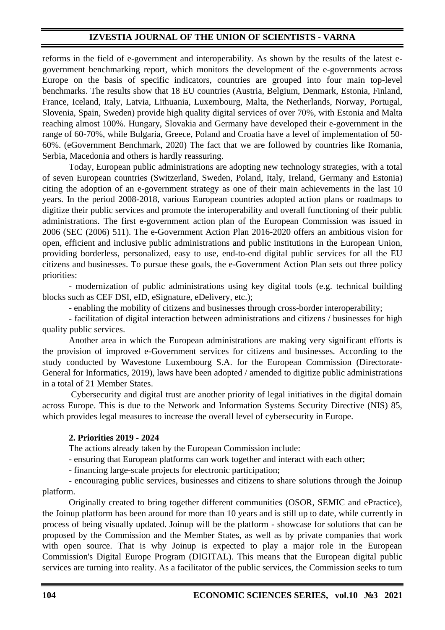reforms in the field of e-government and interoperability. As shown by the results of the latest egovernment benchmarking report, which monitors the development of the e-governments across Europe on the basis of specific indicators, countries are grouped into four main top-level benchmarks. The results show that 18 EU countries (Austria, Belgium, Denmark, Estonia, Finland, France, Iceland, Italy, Latvia, Lithuania, Luxembourg, Malta, the Netherlands, Norway, Portugal, Slovenia, Spain, Sweden) provide high quality digital services of over 70%, with Estonia and Malta reaching almost 100%. Hungary, Slovakia and Germany have developed their e-government in the range of 60-70%, while Bulgaria, Greece, Poland and Croatia have a level of implementation of 50- 60%. (eGovernment Benchmark, 2020) The fact that we are followed by countries like Romania, Serbia, Macedonia and others is hardly reassuring.

Today, European public administrations are adopting new technology strategies, with a total of seven European countries (Switzerland, Sweden, Poland, Italy, Ireland, Germany and Estonia) citing the adoption of an e-government strategy as one of their main achievements in the last 10 years. In the period 2008-2018, various European countries adopted action plans or roadmaps to digitize their public services and promote the interoperability and overall functioning of their public administrations. The first e-government action plan of the European Commission was issued in 2006 (SEC (2006) 511). The e-Government Action Plan 2016-2020 offers an ambitious vision for open, efficient and inclusive public administrations and public institutions in the European Union, providing borderless, personalized, easy to use, end-to-end digital public services for all the EU citizens and businesses. To pursue these goals, the e-Government Action Plan sets out three policy priorities:

- modernization of public administrations using key digital tools (e.g. technical building blocks such as CEF DSI, eID, eSignature, eDelivery, etc.);

- enabling the mobility of citizens and businesses through cross-border interoperability;

- facilitation of digital interaction between administrations and citizens / businesses for high quality public services.

Another area in which the European administrations are making very significant efforts is the provision of improved e-Government services for citizens and businesses. According to the study conducted by Wavestone Luxembourg S.A. for the European Commission (Directorate-General for Informatics, 2019), laws have been adopted / amended to digitize public administrations in a total of 21 Member States.

Cybersecurity and digital trust are another priority of legal initiatives in the digital domain across Europe. This is due to the Network and Information Systems Security Directive (NIS) 85, which provides legal measures to increase the overall level of cybersecurity in Europe.

### **2. Priorities 2019 - 2024**

The actions already taken by the European Commission include:

- ensuring that European platforms can work together and interact with each other;

- financing large-scale projects for electronic participation;

- encouraging public services, businesses and citizens to share solutions through the Joinup platform.

Originally created to bring together different communities (OSOR, SEMIC and ePractice), the Joinup platform has been around for more than 10 years and is still up to date, while currently in process of being visually updated. Joinup will be the platform - showcase for solutions that can be proposed by the Commission and the Member States, as well as by private companies that work with open source. That is why Joinup is expected to play a major role in the European Commission's Digital Europe Program (DIGITAL). This means that the European digital public services are turning into reality. As a facilitator of the public services, the Commission seeks to turn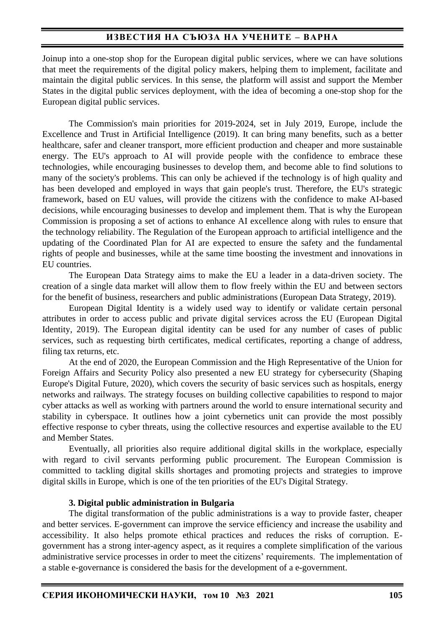## **ИЗВЕСТИЯ НА СЪЮЗА НА УЧЕНИТЕ – ВАРНА**

Joinup into a one-stop shop for the European digital public services, where we can have solutions that meet the requirements of the digital policy makers, helping them to implement, facilitate and maintain the digital public services. In this sense, the platform will assist and support the Member States in the digital public services deployment, with the idea of becoming a one-stop shop for the European digital public services.

The Commission's main priorities for 2019-2024, set in July 2019, Europe, include the Excellence and Trust in Artificial Intelligence (2019). It can bring many benefits, such as a better healthcare, safer and cleaner transport, more efficient production and cheaper and more sustainable energy. The EU's approach to AI will provide people with the confidence to embrace these technologies, while encouraging businesses to develop them, and become able to find solutions to many of the society's problems. This can only be achieved if the technology is of high quality and has been developed and employed in ways that gain people's trust. Therefore, the EU's strategic framework, based on EU values, will provide the citizens with the confidence to make AI-based decisions, while encouraging businesses to develop and implement them. That is why the European Commission is proposing a set of actions to enhance AI excellence along with rules to ensure that the technology reliability. The Regulation of the European approach to artificial intelligence and the updating of the Coordinated Plan for AI are expected to ensure the safety and the fundamental rights of people and businesses, while at the same time boosting the investment and innovations in EU countries.

The European Data Strategy aims to make the EU a leader in a data-driven society. The creation of a single data market will allow them to flow freely within the EU and between sectors for the benefit of business, researchers and public administrations (European Data Strategy, 2019).

European Digital Identity is a widely used way to identify or validate certain personal attributes in order to access public and private digital services across the EU (European Digital Identity, 2019). The European digital identity can be used for any number of cases of public services, such as requesting birth certificates, medical certificates, reporting a change of address, filing tax returns, etc.

At the end of 2020, the European Commission and the High Representative of the Union for Foreign Affairs and Security Policy also presented a new EU strategy for cybersecurity (Shaping Europe's Digital Future, 2020), which covers the security of basic services such as hospitals, energy networks and railways. The strategy focuses on building collective capabilities to respond to major cyber attacks as well as working with partners around the world to ensure international security and stability in cyberspace. It outlines how a joint cybernetics unit can provide the most possibly effective response to cyber threats, using the collective resources and expertise available to the EU and Member States.

Eventually, all priorities also require additional digital skills in the workplace, especially with regard to civil servants performing public procurement. The European Commission is committed to tackling digital skills shortages and promoting projects and strategies to improve digital skills in Europe, which is one of the ten priorities of the EU's Digital Strategy.

#### **3. Digital public administration in Bulgaria**

The digital transformation of the public administrations is a way to provide faster, cheaper and better services. E-government can improve the service efficiency and increase the usability and accessibility. It also helps promote ethical practices and reduces the risks of corruption. Egovernment has a strong inter-agency aspect, as it requires a complete simplification of the various administrative service processes in order to meet the citizens' requirements. The implementation of a stable e-governance is considered the basis for the development of a e-government.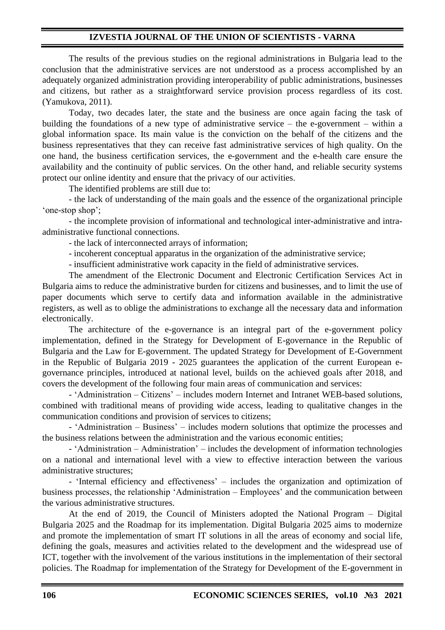The results of the previous studies on the regional administrations in Bulgaria lead to the conclusion that the administrative services are not understood as a process accomplished by an adequately organized administration providing interoperability of public administrations, businesses and citizens, but rather as a straightforward service provision process regardless of its cost. (Yamukova, 2011).

Today, two decades later, the state and the business are once again facing the task of building the foundations of a new type of administrative service – the e-government – within a global information space. Its main value is the conviction on the behalf of the citizens and the business representatives that they can receive fast administrative services of high quality. On the one hand, the business certification services, the e-government and the e-health care ensure the availability and the continuity of public services. On the other hand, and reliable security systems protect our online identity and ensure that the privacy of our activities.

The identified problems are still due to:

- the lack of understanding of the main goals and the essence of the organizational principle 'one-stop shop';

- the incomplete provision of informational and technological inter-administrative and intraadministrative functional connections.

- the lack of interconnected arrays of information;

- incoherent conceptual apparatus in the organization of the administrative service;

- insufficient administrative work capacity in the field of administrative services.

The amendment of the Electronic Document and Electronic Certification Services Act in Bulgaria aims to reduce the administrative burden for citizens and businesses, and to limit the use of paper documents which serve to certify data and information available in the administrative registers, as well as to oblige the administrations to exchange all the necessary data and information electronically.

The architecture of the e-governance is an integral part of the e-government policy implementation, defined in the Strategy for Development of E-governance in the Republic of Bulgaria and the Law for E-government. The updated Strategy for Development of E-Government in the Republic of Bulgaria 2019 - 2025 guarantees the application of the current European egovernance principles, introduced at national level, builds on the achieved goals after 2018, and covers the development of the following four main areas of communication and services:

- 'Administration – Citizens' – includes modern Internet and Intranet WEB-based solutions, combined with traditional means of providing wide access, leading to qualitative changes in the communication conditions and provision of services to citizens;

- 'Administration – Business' – includes modern solutions that optimize the processes and the business relations between the administration and the various economic entities;

- 'Administration – Administration' – includes the development of information technologies on a national and international level with a view to effective interaction between the various administrative structures;

- 'Internal efficiency and effectiveness' – includes the organization and optimization of business processes, the relationship 'Administration – Employees' and the communication between the various administrative structures.

At the end of 2019, the Council of Ministers adopted the National Program – Digital Bulgaria 2025 and the Roadmap for its implementation. Digital Bulgaria 2025 aims to modernize and promote the implementation of smart IT solutions in all the areas of economy and social life, defining the goals, measures and activities related to the development and the widespread use of ICT, together with the involvement of the various institutions in the implementation of their sectoral policies. The Roadmap for implementation of the Strategy for Development of the E-government in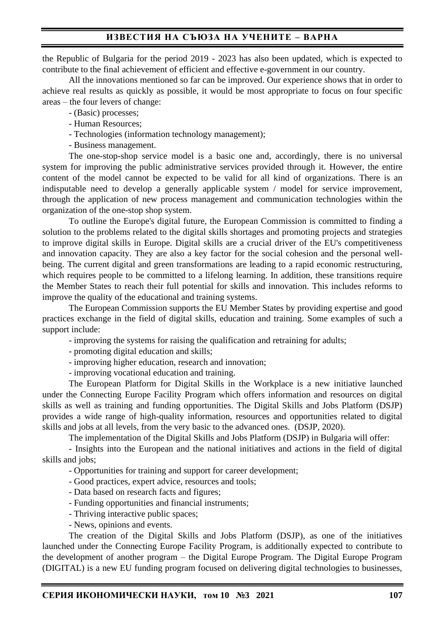the Republic of Bulgaria for the period 2019 - 2023 has also been updated, which is expected to contribute to the final achievement of efficient and effective e-government in our country.

All the innovations mentioned so far can be improved. Our experience shows that in order to achieve real results as quickly as possible, it would be most appropriate to focus on four specific areas – the four levers of change:

- (Basic) processes;

- Human Resources;
- Technologies (information technology management);
- Business management.

The one-stop-shop service model is a basic one and, accordingly, there is no universal system for improving the public administrative services provided through it. However, the entire content of the model cannot be expected to be valid for all kind of organizations. There is an indisputable need to develop a generally applicable system / model for service improvement, through the application of new process management and communication technologies within the organization of the one-stop shop system.

To outline the Europe's digital future, the European Commission is committed to finding a solution to the problems related to the digital skills shortages and promoting projects and strategies to improve digital skills in Europe. Digital skills are a crucial driver of the EU's competitiveness and innovation capacity. They are also a key factor for the social cohesion and the personal wellbeing. The current digital and green transformations are leading to a rapid economic restructuring, which requires people to be committed to a lifelong learning. In addition, these transitions require the Member States to reach their full potential for skills and innovation. This includes reforms to improve the quality of the educational and training systems.

The European Commission supports the EU Member States by providing expertise and good practices exchange in the field of digital skills, education and training. Some examples of such a support include:

- improving the systems for raising the qualification and retraining for adults;

- promoting digital education and skills;
- improving higher education, research and innovation;

- improving vocational education and training.

The European Platform for Digital Skills in the Workplace is a new initiative launched under the Connecting Europe Facility Program which offers information and resources on digital skills as well as training and funding opportunities. The Digital Skills and Jobs Platform (DSJP) provides a wide range of high-quality information, resources and opportunities related to digital skills and jobs at all levels, from the very basic to the advanced ones. (DSJP, 2020).

The implementation of the Digital Skills and Jobs Platform (DSJP) in Bulgaria will offer:

- Insights into the European and the national initiatives and actions in the field of digital skills and jobs;

- Opportunities for training and support for career development;

- Good practices, expert advice, resources and tools;

- Data based on research facts and figures;
- Funding opportunities and financial instruments;
- Thriving interactive public spaces;
- News, opinions and events.

The creation of the Digital Skills and Jobs Platform (DSJP), as one of the initiatives launched under the Connecting Europe Facility Program, is additionally expected to contribute to the development of another program – the Digital Europe Program. The Digital Europe Program (DIGITAL) is a new EU funding program focused on delivering digital technologies to businesses,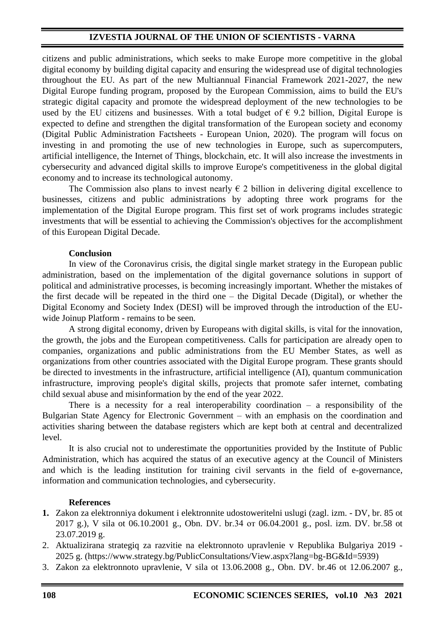citizens and public administrations, which seeks to make Europe more competitive in the global digital economy by building digital capacity and ensuring the widespread use of digital technologies throughout the EU. As part of the new Multiannual Financial Framework 2021-2027, the new Digital Europe funding program, proposed by the European Commission, aims to build the EU's strategic digital capacity and promote the widespread deployment of the new technologies to be used by the EU citizens and businesses. With a total budget of  $\epsilon$  9.2 billion, Digital Europe is expected to define and strengthen the digital transformation of the European society and economy (Digital Public Administration Factsheets - European Union, 2020). The program will focus on investing in and promoting the use of new technologies in Europe, such as supercomputers, artificial intelligence, the Internet of Things, blockchain, etc. It will also increase the investments in cybersecurity and advanced digital skills to improve Europe's competitiveness in the global digital economy and to increase its technological autonomy.

The Commission also plans to invest nearly  $\epsilon$  2 billion in delivering digital excellence to businesses, citizens and public administrations by adopting three work programs for the implementation of the Digital Europe program. This first set of work programs includes strategic investments that will be essential to achieving the Commission's objectives for the accomplishment of this European Digital Decade.

#### **Conclusion**

In view of the Coronavirus crisis, the digital single market strategy in the European public administration, based on the implementation of the digital governance solutions in support of political and administrative processes, is becoming increasingly important. Whether the mistakes of the first decade will be repeated in the third one – the Digital Decade (Digital), or whether the Digital Economy and Society Index (DESI) will be improved through the introduction of the EUwide Joinup Platform - remains to be seen.

A strong digital economy, driven by Europeans with digital skills, is vital for the innovation, the growth, the jobs and the European competitiveness. Calls for participation are already open to companies, organizations and public administrations from the EU Member States, as well as organizations from other countries associated with the Digital Europe program. These grants should be directed to investments in the infrastructure, artificial intelligence (AI), quantum communication infrastructure, improving people's digital skills, projects that promote safer internet, combating child sexual abuse and misinformation by the end of the year 2022.

There is a necessity for a real interoperability coordination  $-$  a responsibility of the Bulgarian State Agency for Electronic Government – with an emphasis on the coordination and activities sharing between the database registers which are kept both at central and decentralized level.

It is also crucial not to underestimate the opportunities provided by the Institute of Public Administration, which has acquired the status of an executive agency at the Council of Ministers and which is the leading institution for training civil servants in the field of e-governance, information and communication technologies, and cybersecurity.

#### **References**

- **1.** Zakon za elektronniya dokument i elektronnite udostoweritelni uslugi (zagl. izm. DV, br. 85 ot 2017 g.), V sila ot 06.10.2001 g., Obn. DV. br.34 от 06.04.2001 g., posl. izm. DV. br.58 ot 23.07.2019 g.
- 2. Aktualizirana strategiq za razvitie na elektronnoto upravlenie v Republika Bulgariya 2019 2025 g. (https://www.strategy.bg/PublicConsultations/View.aspx?lang=bg-BG&Id=5939)
- 3. Zakon za elektronnoto upravlenie, V sila ot 13.06.2008 g., Obn. DV. br.46 ot 12.06.2007 g.,